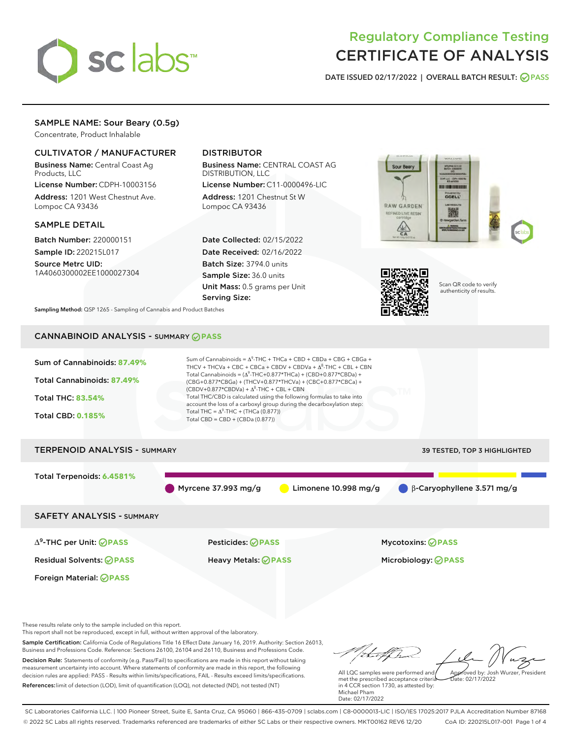

# Regulatory Compliance Testing CERTIFICATE OF ANALYSIS

DATE ISSUED 02/17/2022 | OVERALL BATCH RESULT: @ PASS

## SAMPLE NAME: Sour Beary (0.5g)

Concentrate, Product Inhalable

## CULTIVATOR / MANUFACTURER

Business Name: Central Coast Ag Products, LLC

License Number: CDPH-10003156 Address: 1201 West Chestnut Ave. Lompoc CA 93436

#### SAMPLE DETAIL

Batch Number: 220000151 Sample ID: 220215L017

Source Metrc UID: 1A4060300002EE1000027304

## DISTRIBUTOR

Business Name: CENTRAL COAST AG DISTRIBUTION, LLC

License Number: C11-0000496-LIC Address: 1201 Chestnut St W Lompoc CA 93436

Date Collected: 02/15/2022 Date Received: 02/16/2022 Batch Size: 3794.0 units Sample Size: 36.0 units Unit Mass: 0.5 grams per Unit Serving Size:





Scan QR code to verify authenticity of results.

Sampling Method: QSP 1265 - Sampling of Cannabis and Product Batches

## CANNABINOID ANALYSIS - SUMMARY **PASS**



Business and Professions Code. Reference: Sections 26100, 26104 and 26110, Business and Professions Code. Decision Rule: Statements of conformity (e.g. Pass/Fail) to specifications are made in this report without taking measurement uncertainty into account. Where statements of conformity are made in this report, the following decision rules are applied: PASS - Results within limits/specifications, FAIL - Results exceed limits/specifications. References:limit of detection (LOD), limit of quantification (LOQ), not detected (ND), not tested (NT)

tuf fra Approved by: Josh Wurzer, President All LQC samples were performed and  $hat{O}(17/2022)$ 

met the prescribed acceptance criteria in 4 CCR section 1730, as attested by: Michael Pham Date: 02/17/2022

SC Laboratories California LLC. | 100 Pioneer Street, Suite E, Santa Cruz, CA 95060 | 866-435-0709 | sclabs.com | C8-0000013-LIC | ISO/IES 17025:2017 PJLA Accreditation Number 87168 © 2022 SC Labs all rights reserved. Trademarks referenced are trademarks of either SC Labs or their respective owners. MKT00162 REV6 12/20 CoA ID: 220215L017-001 Page 1 of 4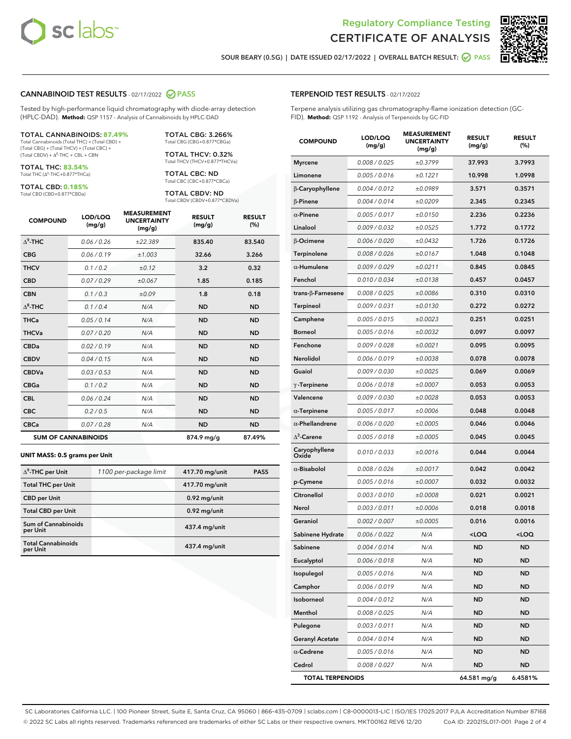



SOUR BEARY (0.5G) | DATE ISSUED 02/17/2022 | OVERALL BATCH RESULT: ○ PASS

#### CANNABINOID TEST RESULTS - 02/17/2022 2 PASS

Tested by high-performance liquid chromatography with diode-array detection (HPLC-DAD). **Method:** QSP 1157 - Analysis of Cannabinoids by HPLC-DAD

#### TOTAL CANNABINOIDS: **87.49%**

Total Cannabinoids (Total THC) + (Total CBD) + (Total CBG) + (Total THCV) + (Total CBC) +  $(Total CBDV) +  $\Delta^8$ -THC + CBL + CBN$ 

TOTAL THC: **83.54%** Total THC (Δ<sup>9</sup>-THC+0.877\*THCa)

TOTAL CBD: **0.185%**

Total CBD (CBD+0.877\*CBDa)

TOTAL CBG: 3.266% Total CBG (CBG+0.877\*CBGa)

TOTAL THCV: 0.32% Total THCV (THCV+0.877\*THCVa)

TOTAL CBC: ND Total CBC (CBC+0.877\*CBCa)

TOTAL CBDV: ND Total CBDV (CBDV+0.877\*CBDVa)

| <b>COMPOUND</b>  | LOD/LOQ<br>(mg/g)          | <b>MEASUREMENT</b><br><b>UNCERTAINTY</b><br>(mg/g) | <b>RESULT</b><br>(mg/g) | <b>RESULT</b><br>(%) |
|------------------|----------------------------|----------------------------------------------------|-------------------------|----------------------|
| $\Lambda^9$ -THC | 0.06 / 0.26                | ±22.389                                            | 835.40                  | 83.540               |
| <b>CBG</b>       | 0.06/0.19                  | ±1.003                                             | 32.66                   | 3.266                |
| <b>THCV</b>      | 0.1 / 0.2                  | ±0.12                                              | 3.2                     | 0.32                 |
| <b>CBD</b>       | 0.07/0.29                  | ±0.067                                             | 1.85                    | 0.185                |
| <b>CBN</b>       | 0.1/0.3                    | ±0.09                                              | 1.8                     | 0.18                 |
| $\Delta^8$ -THC  | 0.1 / 0.4                  | N/A                                                | <b>ND</b>               | <b>ND</b>            |
| <b>THCa</b>      | 0.05/0.14                  | N/A                                                | <b>ND</b>               | <b>ND</b>            |
| <b>THCVa</b>     | 0.07/0.20                  | N/A                                                | <b>ND</b>               | <b>ND</b>            |
| <b>CBDa</b>      | 0.02/0.19                  | N/A                                                | <b>ND</b>               | <b>ND</b>            |
| <b>CBDV</b>      | 0.04 / 0.15                | N/A                                                | <b>ND</b>               | <b>ND</b>            |
| <b>CBDVa</b>     | 0.03/0.53                  | N/A                                                | <b>ND</b>               | <b>ND</b>            |
| <b>CBGa</b>      | 0.1/0.2                    | N/A                                                | <b>ND</b>               | <b>ND</b>            |
| <b>CBL</b>       | 0.06 / 0.24                | N/A                                                | <b>ND</b>               | <b>ND</b>            |
| <b>CBC</b>       | 0.2 / 0.5                  | N/A                                                | <b>ND</b>               | <b>ND</b>            |
| <b>CBCa</b>      | 0.07/0.28                  | N/A                                                | <b>ND</b>               | <b>ND</b>            |
|                  | <b>SUM OF CANNABINOIDS</b> |                                                    | 874.9 mg/g              | 87.49%               |

#### **UNIT MASS: 0.5 grams per Unit**

| $\Delta^9$ -THC per Unit               | 1100 per-package limit | 417.70 mg/unit | <b>PASS</b> |
|----------------------------------------|------------------------|----------------|-------------|
| <b>Total THC per Unit</b>              |                        | 417.70 mg/unit |             |
| <b>CBD</b> per Unit                    |                        | $0.92$ mg/unit |             |
| <b>Total CBD per Unit</b>              |                        | $0.92$ mg/unit |             |
| <b>Sum of Cannabinoids</b><br>per Unit |                        | 437.4 mg/unit  |             |
| <b>Total Cannabinoids</b><br>per Unit  |                        | 437.4 mg/unit  |             |

| <b>COMPOUND</b>         | LOD/LOQ<br>(mg/g) | ASUREIVI<br><b>UNCERTAINTY</b><br>(mg/g) | <b>RESULT</b><br>(mg/g)                         | <b>RESULT</b><br>$(\%)$ |
|-------------------------|-------------------|------------------------------------------|-------------------------------------------------|-------------------------|
| <b>Myrcene</b>          | 0.008 / 0.025     | ±0.3799                                  | 37.993                                          | 3.7993                  |
| Limonene                | 0.005 / 0.016     | ±0.1221                                  | 10.998                                          | 1.0998                  |
| β-Caryophyllene         | 0.004 / 0.012     | ±0.0989                                  | 3.571                                           | 0.3571                  |
| $\beta$ -Pinene         | 0.004 / 0.014     | ±0.0209                                  | 2.345                                           | 0.2345                  |
| $\alpha$ -Pinene        | 0.005 / 0.017     | ±0.0150                                  | 2.236                                           | 0.2236                  |
| Linalool                | 0.009 / 0.032     | ±0.0525                                  | 1.772                                           | 0.1772                  |
| β-Ocimene               | 0.006 / 0.020     | ±0.0432                                  | 1.726                                           | 0.1726                  |
| <b>Terpinolene</b>      | 0.008 / 0.026     | ±0.0167                                  | 1.048                                           | 0.1048                  |
| $\alpha$ -Humulene      | 0.009 / 0.029     | ±0.0211                                  | 0.845                                           | 0.0845                  |
| Fenchol                 | 0.010 / 0.034     | ±0.0138                                  | 0.457                                           | 0.0457                  |
| trans-β-Farnesene       | 0.008 / 0.025     | ±0.0086                                  | 0.310                                           | 0.0310                  |
| Terpineol               | 0.009 / 0.031     | ±0.0130                                  | 0.272                                           | 0.0272                  |
| Camphene                | 0.005 / 0.015     | ±0.0023                                  | 0.251                                           | 0.0251                  |
| <b>Borneol</b>          | 0.005 / 0.016     | ±0.0032                                  | 0.097                                           | 0.0097                  |
| Fenchone                | 0.009 / 0.028     | ±0.0021                                  | 0.095                                           | 0.0095                  |
| Nerolidol               | 0.006 / 0.019     | ±0.0038                                  | 0.078                                           | 0.0078                  |
| Guaiol                  | 0.009 / 0.030     | ±0.0025                                  | 0.069                                           | 0.0069                  |
| $\gamma$ -Terpinene     | 0.006 / 0.018     | ±0.0007                                  | 0.053                                           | 0.0053                  |
| Valencene               | 0.009 / 0.030     | ±0.0028                                  | 0.053                                           | 0.0053                  |
| $\alpha$ -Terpinene     | 0.005 / 0.017     | ±0.0006                                  | 0.048                                           | 0.0048                  |
| $\alpha$ -Phellandrene  | 0.006 / 0.020     | ±0.0005                                  | 0.046                                           | 0.0046                  |
| $\Delta^3$ -Carene      | 0.005 / 0.018     | ±0.0005                                  | 0.045                                           | 0.0045                  |
| Caryophyllene<br>Oxide  | 0.010 / 0.033     | ±0.0016                                  | 0.044                                           | 0.0044                  |
| $\alpha$ -Bisabolol     | 0.008 / 0.026     | ±0.0017                                  | 0.042                                           | 0.0042                  |
| p-Cymene                | 0.005 / 0.016     | ±0.0007                                  | 0.032                                           | 0.0032                  |
| Citronellol             | 0.003 / 0.010     | ±0.0008                                  | 0.021                                           | 0.0021                  |
| Nerol                   | 0.003 / 0.011     | ±0.0006                                  | 0.018                                           | 0.0018                  |
| Geraniol                | 0.002 / 0.007     | ±0.0005                                  | 0.016                                           | 0.0016                  |
| Sabinene Hydrate        | 0.006 / 0.022     | N/A                                      | <loq< th=""><th><loq< th=""></loq<></th></loq<> | <loq< th=""></loq<>     |
| Sabinene                | 0.004 / 0.014     | N/A                                      | <b>ND</b>                                       | <b>ND</b>               |
| Eucalyptol              | 0.006 / 0.018     | N/A                                      | ND                                              | ND                      |
| Isopulegol              | 0.005 / 0.016     | N/A                                      | ND                                              | ND                      |
| Camphor                 | 0.006 / 0.019     | N/A                                      | ND                                              | ND                      |
| Isoborneol              | 0.004 / 0.012     | N/A                                      | ND                                              | ND                      |
| Menthol                 | 0.008 / 0.025     | N/A                                      | ND                                              | ND                      |
| Pulegone                | 0.003 / 0.011     | N/A                                      | ND                                              | ND                      |
| <b>Geranyl Acetate</b>  | 0.004 / 0.014     | N/A                                      | ND                                              | ND                      |
| $\alpha$ -Cedrene       | 0.005 / 0.016     | N/A                                      | ND                                              | ND                      |
| Cedrol                  | 0.008 / 0.027     | N/A                                      | <b>ND</b>                                       | ND                      |
| <b>TOTAL TERPENOIDS</b> |                   |                                          | 64.581 mg/g                                     | 6.4581%                 |

SC Laboratories California LLC. | 100 Pioneer Street, Suite E, Santa Cruz, CA 95060 | 866-435-0709 | sclabs.com | C8-0000013-LIC | ISO/IES 17025:2017 PJLA Accreditation Number 87168 © 2022 SC Labs all rights reserved. Trademarks referenced are trademarks of either SC Labs or their respective owners. MKT00162 REV6 12/20 CoA ID: 220215L017-001 Page 2 of 4

### TERPENOID TEST RESULTS - 02/17/2022

Terpene analysis utilizing gas chromatography-flame ionization detection (GC-FID). **Method:** QSP 1192 - Analysis of Terpenoids by GC-FID

MEASUREMENT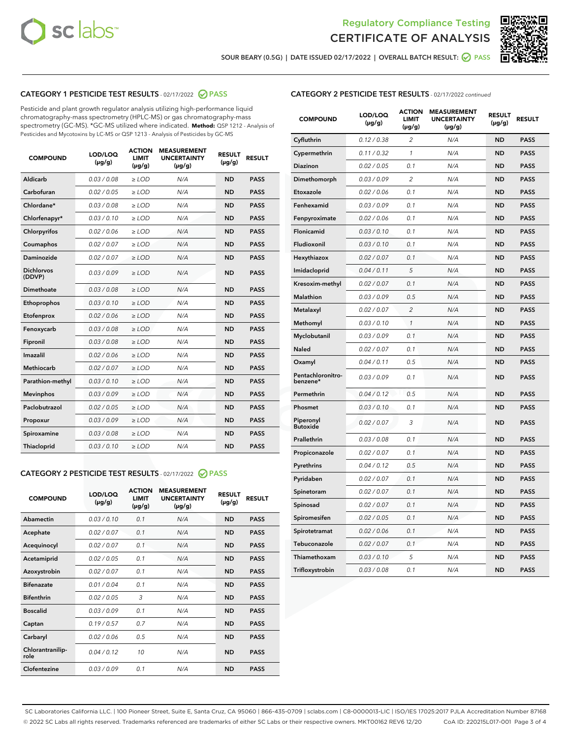



SOUR BEARY (0.5G) | DATE ISSUED 02/17/2022 | OVERALL BATCH RESULT:  $\bigcirc$  PASS

## CATEGORY 1 PESTICIDE TEST RESULTS - 02/17/2022 2 PASS

Pesticide and plant growth regulator analysis utilizing high-performance liquid chromatography-mass spectrometry (HPLC-MS) or gas chromatography-mass spectrometry (GC-MS). \*GC-MS utilized where indicated. **Method:** QSP 1212 - Analysis of Pesticides and Mycotoxins by LC-MS or QSP 1213 - Analysis of Pesticides by GC-MS

| <b>COMPOUND</b>             | LOD/LOQ<br>$(\mu g/g)$ | <b>ACTION</b><br><b>LIMIT</b><br>$(\mu g/g)$ | <b>MEASUREMENT</b><br><b>UNCERTAINTY</b><br>$(\mu g/g)$ | <b>RESULT</b><br>$(\mu g/g)$ | <b>RESULT</b> |
|-----------------------------|------------------------|----------------------------------------------|---------------------------------------------------------|------------------------------|---------------|
| Aldicarb                    | 0.03 / 0.08            | $\ge$ LOD                                    | N/A                                                     | <b>ND</b>                    | <b>PASS</b>   |
| Carbofuran                  | 0.02 / 0.05            | $\ge$ LOD                                    | N/A                                                     | <b>ND</b>                    | <b>PASS</b>   |
| Chlordane*                  | 0.03 / 0.08            | $\geq$ LOD                                   | N/A                                                     | <b>ND</b>                    | <b>PASS</b>   |
| Chlorfenapyr*               | 0.03/0.10              | $\geq$ LOD                                   | N/A                                                     | <b>ND</b>                    | <b>PASS</b>   |
| Chlorpyrifos                | 0.02/0.06              | $>$ LOD                                      | N/A                                                     | <b>ND</b>                    | <b>PASS</b>   |
| Coumaphos                   | 0.02 / 0.07            | $\ge$ LOD                                    | N/A                                                     | <b>ND</b>                    | <b>PASS</b>   |
| Daminozide                  | 0.02 / 0.07            | $\ge$ LOD                                    | N/A                                                     | <b>ND</b>                    | <b>PASS</b>   |
| <b>Dichlorvos</b><br>(DDVP) | 0.03/0.09              | $>$ LOD                                      | N/A                                                     | <b>ND</b>                    | <b>PASS</b>   |
| <b>Dimethoate</b>           | 0.03 / 0.08            | $\ge$ LOD                                    | N/A                                                     | <b>ND</b>                    | <b>PASS</b>   |
| Ethoprophos                 | 0.03/0.10              | $\ge$ LOD                                    | N/A                                                     | <b>ND</b>                    | <b>PASS</b>   |
| Etofenprox                  | 0.02 / 0.06            | $\ge$ LOD                                    | N/A                                                     | <b>ND</b>                    | <b>PASS</b>   |
| Fenoxycarb                  | 0.03 / 0.08            | $>$ LOD                                      | N/A                                                     | <b>ND</b>                    | <b>PASS</b>   |
| Fipronil                    | 0.03 / 0.08            | $>$ LOD                                      | N/A                                                     | <b>ND</b>                    | <b>PASS</b>   |
| Imazalil                    | 0.02 / 0.06            | $>$ LOD                                      | N/A                                                     | <b>ND</b>                    | <b>PASS</b>   |
| <b>Methiocarb</b>           | 0.02 / 0.07            | $\ge$ LOD                                    | N/A                                                     | <b>ND</b>                    | <b>PASS</b>   |
| Parathion-methyl            | 0.03/0.10              | $\geq$ LOD                                   | N/A                                                     | <b>ND</b>                    | <b>PASS</b>   |
| <b>Mevinphos</b>            | 0.03/0.09              | $\ge$ LOD                                    | N/A                                                     | <b>ND</b>                    | <b>PASS</b>   |
| Paclobutrazol               | 0.02 / 0.05            | $\ge$ LOD                                    | N/A                                                     | <b>ND</b>                    | <b>PASS</b>   |
| Propoxur                    | 0.03/0.09              | $>$ LOD                                      | N/A                                                     | <b>ND</b>                    | <b>PASS</b>   |
| Spiroxamine                 | 0.03 / 0.08            | $>$ LOD                                      | N/A                                                     | <b>ND</b>                    | <b>PASS</b>   |
| Thiacloprid                 | 0.03/0.10              | $\geq$ LOD                                   | N/A                                                     | <b>ND</b>                    | <b>PASS</b>   |

## CATEGORY 2 PESTICIDE TEST RESULTS - 02/17/2022 @ PASS

| <b>COMPOUND</b>          | LOD/LOO<br>$(\mu g/g)$ | <b>ACTION</b><br><b>LIMIT</b><br>(µg/g) | <b>MEASUREMENT</b><br><b>UNCERTAINTY</b><br>$(\mu g/g)$ | <b>RESULT</b><br>$(\mu g/g)$ | <b>RESULT</b> |  |
|--------------------------|------------------------|-----------------------------------------|---------------------------------------------------------|------------------------------|---------------|--|
| Abamectin                | 0.03/0.10              | 0.1                                     | N/A                                                     | <b>ND</b>                    | <b>PASS</b>   |  |
| Acephate                 | 0.02/0.07              | 0.1                                     | N/A                                                     | <b>ND</b>                    | <b>PASS</b>   |  |
| Acequinocyl              | 0.02/0.07              | 0.1                                     | N/A                                                     | <b>ND</b>                    | <b>PASS</b>   |  |
| Acetamiprid              | 0.02/0.05              | 0.1                                     | N/A                                                     | <b>ND</b>                    | <b>PASS</b>   |  |
| Azoxystrobin             | 0.02/0.07              | 0.1                                     | N/A                                                     | <b>ND</b>                    | <b>PASS</b>   |  |
| <b>Bifenazate</b>        | 0.01/0.04              | 0.1                                     | N/A                                                     | <b>ND</b>                    | <b>PASS</b>   |  |
| <b>Bifenthrin</b>        | 0.02/0.05              | 3                                       | N/A                                                     | <b>ND</b>                    | <b>PASS</b>   |  |
| <b>Boscalid</b>          | 0.03/0.09              | 0.1                                     | N/A                                                     | <b>ND</b>                    | <b>PASS</b>   |  |
| Captan                   | 0.19/0.57              | 0.7                                     | N/A                                                     | <b>ND</b>                    | <b>PASS</b>   |  |
| Carbaryl                 | 0.02/0.06              | 0.5                                     | N/A                                                     | <b>ND</b>                    | <b>PASS</b>   |  |
| Chlorantranilip-<br>role | 0.04/0.12              | 10                                      | N/A                                                     | <b>ND</b>                    | <b>PASS</b>   |  |
| Clofentezine             | 0.03/0.09              | 0.1                                     | N/A                                                     | <b>ND</b>                    | <b>PASS</b>   |  |

## CATEGORY 2 PESTICIDE TEST RESULTS - 02/17/2022 continued

| <b>COMPOUND</b>               | LOD/LOQ<br>(µg/g) | <b>ACTION</b><br><b>LIMIT</b><br>(µg/g) | <b>MEASUREMENT</b><br><b>UNCERTAINTY</b><br>$(\mu g/g)$ | <b>RESULT</b><br>(µg/g) | <b>RESULT</b> |
|-------------------------------|-------------------|-----------------------------------------|---------------------------------------------------------|-------------------------|---------------|
| Cyfluthrin                    | 0.12 / 0.38       | $\overline{c}$                          | N/A                                                     | <b>ND</b>               | <b>PASS</b>   |
| Cypermethrin                  | 0.11/0.32         | 1                                       | N/A                                                     | <b>ND</b>               | <b>PASS</b>   |
| <b>Diazinon</b>               | 0.02 / 0.05       | 0.1                                     | N/A                                                     | <b>ND</b>               | <b>PASS</b>   |
| Dimethomorph                  | 0.03 / 0.09       | $\overline{c}$                          | N/A                                                     | ND                      | <b>PASS</b>   |
| Etoxazole                     | 0.02 / 0.06       | 0.1                                     | N/A                                                     | ND                      | <b>PASS</b>   |
| Fenhexamid                    | 0.03 / 0.09       | 0.1                                     | N/A                                                     | <b>ND</b>               | <b>PASS</b>   |
| Fenpyroximate                 | 0.02 / 0.06       | 0.1                                     | N/A                                                     | ND                      | <b>PASS</b>   |
| Flonicamid                    | 0.03 / 0.10       | 0.1                                     | N/A                                                     | ND                      | <b>PASS</b>   |
| Fludioxonil                   | 0.03 / 0.10       | 0.1                                     | N/A                                                     | <b>ND</b>               | <b>PASS</b>   |
| Hexythiazox                   | 0.02 / 0.07       | 0.1                                     | N/A                                                     | ND                      | <b>PASS</b>   |
| Imidacloprid                  | 0.04 / 0.11       | 5                                       | N/A                                                     | ND                      | <b>PASS</b>   |
| Kresoxim-methyl               | 0.02 / 0.07       | 0.1                                     | N/A                                                     | <b>ND</b>               | <b>PASS</b>   |
| Malathion                     | 0.03 / 0.09       | 0.5                                     | N/A                                                     | <b>ND</b>               | <b>PASS</b>   |
| Metalaxyl                     | 0.02 / 0.07       | $\overline{c}$                          | N/A                                                     | ND                      | <b>PASS</b>   |
| Methomyl                      | 0.03 / 0.10       | 1                                       | N/A                                                     | ND                      | <b>PASS</b>   |
| Myclobutanil                  | 0.03 / 0.09       | 0.1                                     | N/A                                                     | <b>ND</b>               | <b>PASS</b>   |
| Naled                         | 0.02 / 0.07       | 0.1                                     | N/A                                                     | ND                      | <b>PASS</b>   |
| Oxamyl                        | 0.04 / 0.11       | 0.5                                     | N/A                                                     | ND                      | <b>PASS</b>   |
| Pentachloronitro-<br>benzene* | 0.03 / 0.09       | 0.1                                     | N/A                                                     | ND                      | <b>PASS</b>   |
| Permethrin                    | 0.04 / 0.12       | 0.5                                     | N/A                                                     | <b>ND</b>               | <b>PASS</b>   |
| Phosmet                       | 0.03 / 0.10       | 0.1                                     | N/A                                                     | <b>ND</b>               | <b>PASS</b>   |
| Piperonyl<br><b>Butoxide</b>  | 0.02 / 0.07       | 3                                       | N/A                                                     | <b>ND</b>               | <b>PASS</b>   |
| Prallethrin                   | 0.03 / 0.08       | 0.1                                     | N/A                                                     | <b>ND</b>               | <b>PASS</b>   |
| Propiconazole                 | 0.02 / 0.07       | 0.1                                     | N/A                                                     | <b>ND</b>               | <b>PASS</b>   |
| Pyrethrins                    | 0.04 / 0.12       | 0.5                                     | N/A                                                     | ND                      | <b>PASS</b>   |
| Pyridaben                     | 0.02 / 0.07       | 0.1                                     | N/A                                                     | <b>ND</b>               | <b>PASS</b>   |
| Spinetoram                    | 0.02 / 0.07       | 0.1                                     | N/A                                                     | <b>ND</b>               | <b>PASS</b>   |
| Spinosad                      | 0.02 / 0.07       | 0.1                                     | N/A                                                     | ND                      | <b>PASS</b>   |
| Spiromesifen                  | 0.02 / 0.05       | 0.1                                     | N/A                                                     | <b>ND</b>               | <b>PASS</b>   |
| Spirotetramat                 | 0.02 / 0.06       | 0.1                                     | N/A                                                     | ND                      | <b>PASS</b>   |
| Tebuconazole                  | 0.02 / 0.07       | 0.1                                     | N/A                                                     | <b>ND</b>               | <b>PASS</b>   |
| Thiamethoxam                  | 0.03 / 0.10       | 5                                       | N/A                                                     | ND                      | <b>PASS</b>   |
| Trifloxystrobin               | 0.03 / 0.08       | 0.1                                     | N/A                                                     | <b>ND</b>               | <b>PASS</b>   |

SC Laboratories California LLC. | 100 Pioneer Street, Suite E, Santa Cruz, CA 95060 | 866-435-0709 | sclabs.com | C8-0000013-LIC | ISO/IES 17025:2017 PJLA Accreditation Number 87168 © 2022 SC Labs all rights reserved. Trademarks referenced are trademarks of either SC Labs or their respective owners. MKT00162 REV6 12/20 CoA ID: 220215L017-001 Page 3 of 4